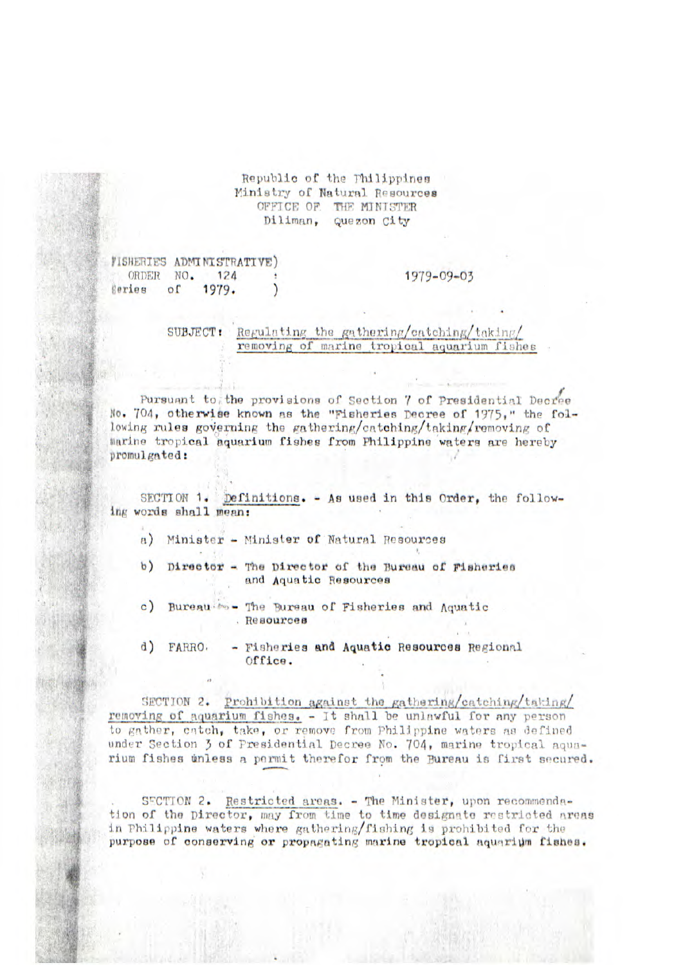## Republic of the Philippines Ministry of Natural Resources OFFICE OF THE MINISTER Diliman, Quezon City

VISHERIES ADMINISTRATIVE) ORDER NO. 124 Series  $o<sub>f</sub>$ 1979.

1979-09-03

SUBJECT: Regulating the gathering/catching/taking/ removing of marine tropical aquarium fishes

Pursuant to the provisions of Section 7 of Presidential Decree No. 704, otherwise known as the "Fisheries Decree of 1975," the following rules governing the gathering/catching/taking/removing of marine tropical aquarium fishes from Philippine waters are hereby promulgated:

SECTION 1. Definitions. - As used in this Order, the following words shall mean:

a) Minister - Minister of Natural Resources

b) Director - The Director of the Bureau of Pisheries and Aquatic Resources

c) Bureau \*\*\* - The Bureau of Fisheries and Aquatic . Resources

 $\mathbf{d}$ - Fisheries and Aquatic Resources Regional FARRO. Office.

SECTION 2. Prohibition against the gathering/catching/taking/ removing of aquarium fishes. - It shall be unlawful for any person to gather, catch, take, or remove from Philippine waters as defined under Section 3 of Presidential Decree No. 704, marine tropical aquarium fishes whless a permit therefor from the Bureau is first secured.

SECTION 2. Restricted areas. - The Minister, upon recommendation of the Director, may from time to time designate restricted areas in Philippine waters where gathering/fishing is prohibited for the purpose of conserving or propagating marine tropical aquarium fishes.